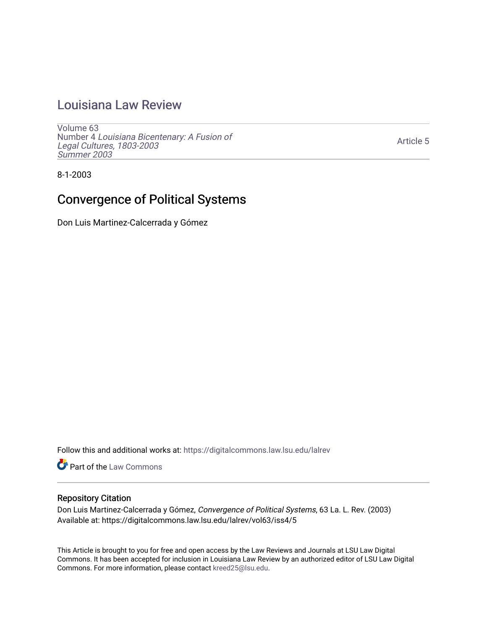## [Louisiana Law Review](https://digitalcommons.law.lsu.edu/lalrev)

[Volume 63](https://digitalcommons.law.lsu.edu/lalrev/vol63) Number 4 [Louisiana Bicentenary: A Fusion of](https://digitalcommons.law.lsu.edu/lalrev/vol63/iss4) [Legal Cultures, 1803-2003](https://digitalcommons.law.lsu.edu/lalrev/vol63/iss4) [Summer 2003](https://digitalcommons.law.lsu.edu/lalrev/vol63/iss4) 

[Article 5](https://digitalcommons.law.lsu.edu/lalrev/vol63/iss4/5) 

8-1-2003

# Convergence of Political Systems

Don Luis Martinez-Calcerrada y Gómez

Follow this and additional works at: [https://digitalcommons.law.lsu.edu/lalrev](https://digitalcommons.law.lsu.edu/lalrev?utm_source=digitalcommons.law.lsu.edu%2Flalrev%2Fvol63%2Fiss4%2F5&utm_medium=PDF&utm_campaign=PDFCoverPages)

Part of the [Law Commons](https://network.bepress.com/hgg/discipline/578?utm_source=digitalcommons.law.lsu.edu%2Flalrev%2Fvol63%2Fiss4%2F5&utm_medium=PDF&utm_campaign=PDFCoverPages)

### Repository Citation

Don Luis Martinez-Calcerrada y Gómez, Convergence of Political Systems, 63 La. L. Rev. (2003) Available at: https://digitalcommons.law.lsu.edu/lalrev/vol63/iss4/5

This Article is brought to you for free and open access by the Law Reviews and Journals at LSU Law Digital Commons. It has been accepted for inclusion in Louisiana Law Review by an authorized editor of LSU Law Digital Commons. For more information, please contact [kreed25@lsu.edu](mailto:kreed25@lsu.edu).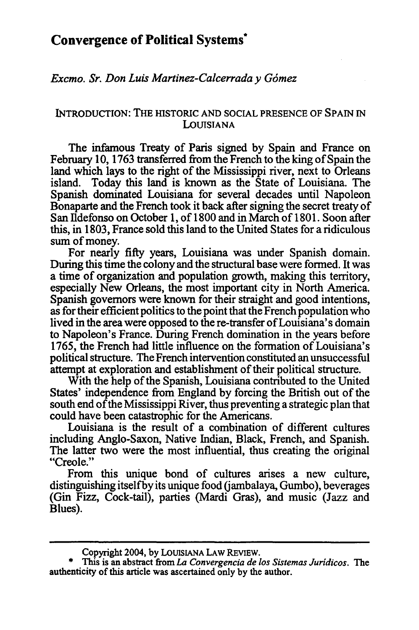### **Convergence of Political Systems\***

*Excmo. Sr.Don Luis Martinez-Calcerraday Gdmez* 

#### INTRODUCTION: THE HISTORIC **AND SOCIAL PRESENCE** OF **SPAIN IN**  LOUISIANA

The infamous Treaty of Paris signed by Spain and France on February 10, 1763 transferred from the French to the king of Spain the land which lays to the right of the Mississippi river, next to Orleans island. Today this land is known as the State of Louisiana. The Spanish dominated Louisiana for several decades until Napoleon Bonaparte and the French took it back after signing the secret treaty of San Ildefonso on October 1, of 1800 and in March of 1801. Soon after this, in 1803, France sold this land to the United States for a ridiculous sum of money.

For nearly fifty years, Louisiana was under Spanish domain. During this time the colony and the structural base were formed. It was a time of organization and population growth, making this territory, especially New Orleans, the most important city in North America. Spanish governors were known for their straight and good intentions, as for their efficient politics to the point that the French population who lived in the area were opposed to the re-transfer of Louisiana's domain to Napoleon's France. During French domination in the years before 1765, the French had little influence on the formation of Louisiana's political structure. The French intervention constituted an unsuccessful attempt at exploration and establishment of their political structure.

With the help of the Spanish, Louisiana contributed to the United States' independence from England by forcing the British out of the south end of the Mississippi River, thus preventing a strategic plan that could have been catastrophic for the Americans.

Louisiana is the result of a combination of different cultures including Anglo-Saxon, Native Indian, Black, French, and Spanish. The latter two were the most influential, thus creating the original "Creole."

From this unique bond of cultures arises a new culture, distinguishing itself by its unique food (jambalaya, Gumbo), beverages (Gin Fizz, Cock-tail), parties (Mardi Gras), and music (Jazz and Blues).

Copyright 2004, **by** LOUISIANA LAW REVIEW.

This is an abstract from *La Convergencia de los Sistemas Juridicos*. The authenticity of this article was ascertained only **by** the author.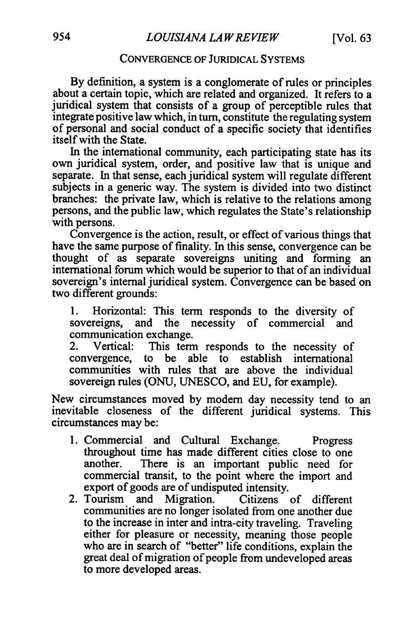### CONVERGENCE OF JURIDICAL SYSTEMS

By definition, a system is a conglomerate of rules or principles about a certain topic, which are related and organized. It refers to a juridical system that consists of a group of perceptible rules that integrate positive law which, in turn, constitute the regulating system of personal and social conduct of a specific society that identifies itself with the State.

In the international community, each participating state has its own juridical system, order, and positive law that is unique and separate. In that sense, each juridical system will regulate different subjects in a generic way. The system is divided into two distinct branches: the private law, which is relative to the relations among persons, and the public law, which regulates the State's relationship with persons.

Convergence is the action, result, or effect of various things that have the same purpose of finality. In this sense, convergence can be thought of as separate sovereigns uniting and forming an international forum which would be superior to that of an individual sovereign's internal juridical system. Convergence can be based on two different grounds:

1. Horizontal: This term responds to the diversity of sovereigns, and the necessity of commercial and communication exchange.

2. Vertical: This term responds to the necessity of convergence, to be able to establish international communities with rules that are above the individual sovereign rules (ONU, UNESCO, and EU, for example).

New circumstances moved by modem day necessity tend to an inevitable closeness of the different juridical systems. This circumstances may be:

- 1. Commercial and Cultural Exchange. Progress throughout time has made different cities close to one another. There is an important public need for commercial transit, to the point where the import and export of goods are of undisputed intensity.
- 2. Tourism and Migration. Citizens of different communities are no longer isolated from one another due to the increase in inter and intra-city traveling. Traveling either for pleasure or necessity, meaning those people who are in search of "better" life conditions, explain the great deal of migration of people from undeveloped areas to more developed areas.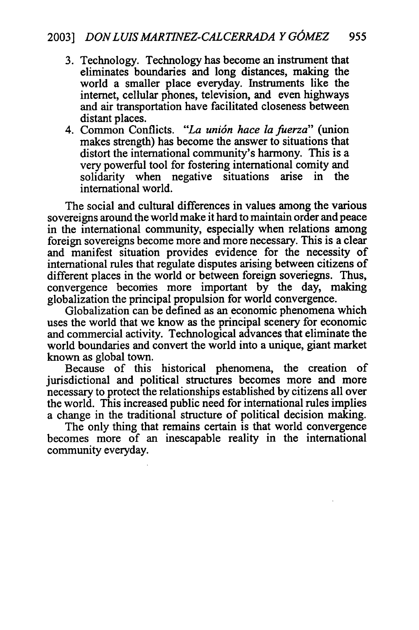- **3.** Technology. Technology has become an instrument that eliminates boundaries and long distances, making the world a smaller place everyday. Instruments like the internet, cellular phones, television, and even highways and air transportation have facilitated closeness between distant places.
- 4. Common Conflicts. *"La uni6n hace la fuerza"* (union makes strength) has become the answer to situations that distort the international community's harmony. This is a very powerful tool for fostering international comity and solidarity when negative situations arise in the international world.

The social and cultural differences in values among the various sovereigns around the world make it hard to maintain order and peace in the international community, especially when relations among foreign sovereigns become more and more necessary. This is a clear and manifest situation provides evidence for the necessity of international rules that regulate disputes arising between citizens of different places in the world or between foreign soveriegns. Thus, convergence becomes more important by the day, making globalization the principal propulsion for world convergence.

Globalization can be defined as an economic phenomena which uses the world that we know as the principal scenery for economic and commercial activity. Technological advances that eliminate the world boundaries and convert the world into a unique, giant market known as global town.

Because of this historical phenomena, the creation of jurisdictional and political structures becomes more and more necessary to protect the relationships established by citizens all over the world. This increased public need for international rules implies a change in the traditional structure of political decision making.

The only thing that remains certain is that world convergence becomes more of an inescapable reality in the international community everyday.